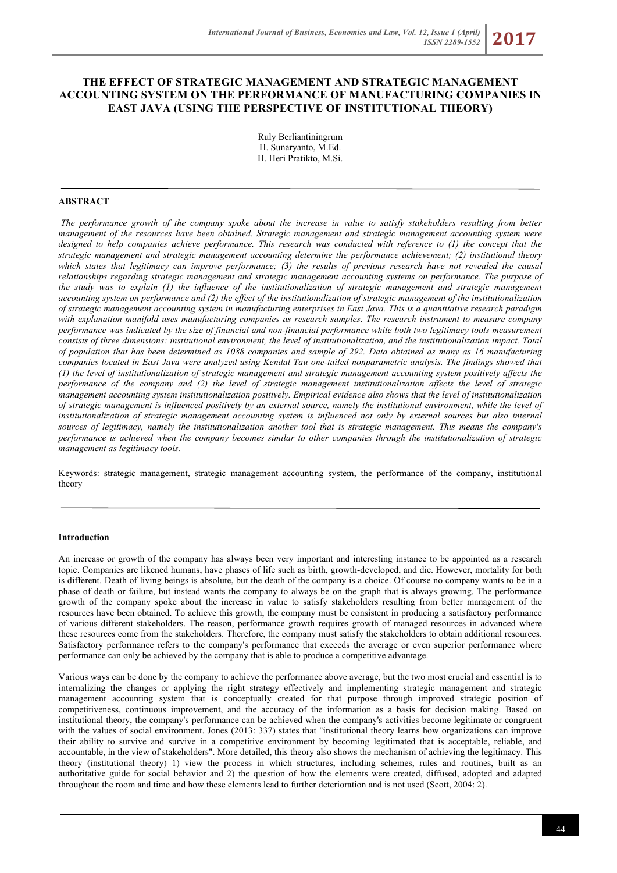# **THE EFFECT OF STRATEGIC MANAGEMENT AND STRATEGIC MANAGEMENT ACCOUNTING SYSTEM ON THE PERFORMANCE OF MANUFACTURING COMPANIES IN EAST JAVA (USING THE PERSPECTIVE OF INSTITUTIONAL THEORY)**

Ruly Berliantiningrum H. Sunaryanto, M.Ed. H. Heri Pratikto, M.Si.

### **ABSTRACT**

*The performance growth of the company spoke about the increase in value to satisfy stakeholders resulting from better management of the resources have been obtained. Strategic management and strategic management accounting system were*  designed to help companies achieve performance. This research was conducted with reference to (1) the concept that the *strategic management and strategic management accounting determine the performance achievement; (2) institutional theory which states that legitimacy can improve performance; (3) the results of previous research have not revealed the causal relationships regarding strategic management and strategic management accounting systems on performance. The purpose of the study was to explain (1) the influence of the institutionalization of strategic management and strategic management accounting system on performance and (2) the effect of the institutionalization of strategic management of the institutionalization of strategic management accounting system in manufacturing enterprises in East Java. This is a quantitative research paradigm with explanation manifold uses manufacturing companies as research samples. The research instrument to measure company performance was indicated by the size of financial and non-financial performance while both two legitimacy tools measurement consists of three dimensions: institutional environment, the level of institutionalization, and the institutionalization impact. Total of population that has been determined as 1088 companies and sample of 292. Data obtained as many as 16 manufacturing companies located in East Java were analyzed using Kendal Tau one-tailed nonparametric analysis. The findings showed that (1) the level of institutionalization of strategic management and strategic management accounting system positively affects the performance of the company and (2) the level of strategic management institutionalization affects the level of strategic management accounting system institutionalization positively. Empirical evidence also shows that the level of institutionalization of strategic management is influenced positively by an external source, namely the institutional environment, while the level of*  institutionalization of strategic management accounting system is influenced not only by external sources but also internal *sources of legitimacy, namely the institutionalization another tool that is strategic management. This means the company's performance is achieved when the company becomes similar to other companies through the institutionalization of strategic management as legitimacy tools.*

Keywords: strategic management, strategic management accounting system, the performance of the company, institutional theory

#### **Introduction**

An increase or growth of the company has always been very important and interesting instance to be appointed as a research topic. Companies are likened humans, have phases of life such as birth, growth-developed, and die. However, mortality for both is different. Death of living beings is absolute, but the death of the company is a choice. Of course no company wants to be in a phase of death or failure, but instead wants the company to always be on the graph that is always growing. The performance growth of the company spoke about the increase in value to satisfy stakeholders resulting from better management of the resources have been obtained. To achieve this growth, the company must be consistent in producing a satisfactory performance of various different stakeholders. The reason, performance growth requires growth of managed resources in advanced where these resources come from the stakeholders. Therefore, the company must satisfy the stakeholders to obtain additional resources. Satisfactory performance refers to the company's performance that exceeds the average or even superior performance where performance can only be achieved by the company that is able to produce a competitive advantage.

Various ways can be done by the company to achieve the performance above average, but the two most crucial and essential is to internalizing the changes or applying the right strategy effectively and implementing strategic management and strategic management accounting system that is conceptually created for that purpose through improved strategic position of competitiveness, continuous improvement, and the accuracy of the information as a basis for decision making. Based on institutional theory, the company's performance can be achieved when the company's activities become legitimate or congruent with the values of social environment. Jones (2013: 337) states that "institutional theory learns how organizations can improve their ability to survive and survive in a competitive environment by becoming legitimated that is acceptable, reliable, and accountable, in the view of stakeholders". More detailed, this theory also shows the mechanism of achieving the legitimacy. This theory (institutional theory) 1) view the process in which structures, including schemes, rules and routines, built as an authoritative guide for social behavior and 2) the question of how the elements were created, diffused, adopted and adapted throughout the room and time and how these elements lead to further deterioration and is not used (Scott, 2004: 2).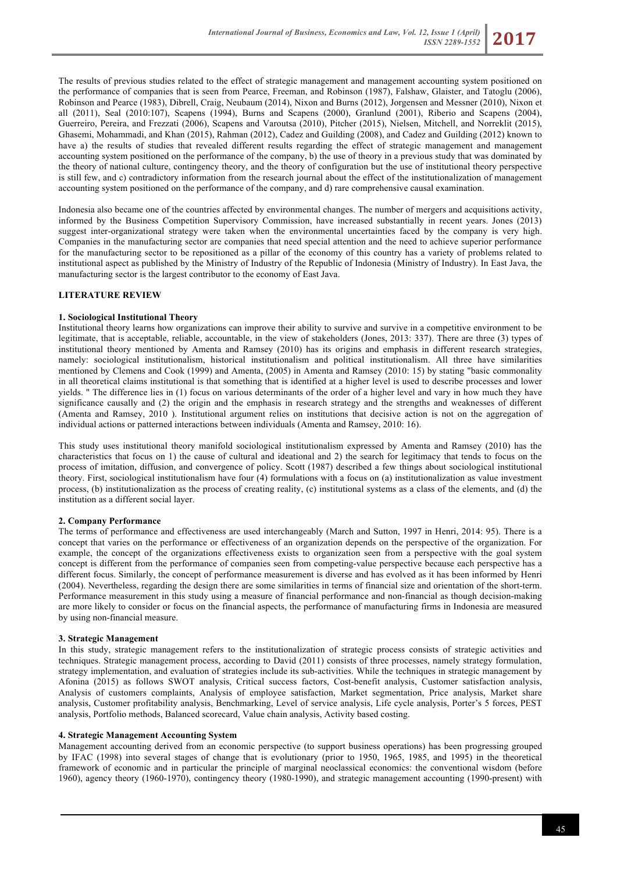The results of previous studies related to the effect of strategic management and management accounting system positioned on the performance of companies that is seen from Pearce, Freeman, and Robinson (1987), Falshaw, Glaister, and Tatoglu (2006), Robinson and Pearce (1983), Dibrell, Craig, Neubaum (2014), Nixon and Burns (2012), Jorgensen and Messner (2010), Nixon et all (2011), Seal (2010:107), Scapens (1994), Burns and Scapens (2000), Granlund (2001), Riberio and Scapens (2004), Guerreiro, Pereira, and Frezzati (2006), Scapens and Varoutsa (2010), Pitcher (2015), Nielsen, Mitchell, and Norreklit (2015), Ghasemi, Mohammadi, and Khan (2015), Rahman (2012), Cadez and Guilding (2008), and Cadez and Guilding (2012) known to have a) the results of studies that revealed different results regarding the effect of strategic management and management accounting system positioned on the performance of the company, b) the use of theory in a previous study that was dominated by the theory of national culture, contingency theory, and the theory of configuration but the use of institutional theory perspective is still few, and c) contradictory information from the research journal about the effect of the institutionalization of management accounting system positioned on the performance of the company, and d) rare comprehensive causal examination.

Indonesia also became one of the countries affected by environmental changes. The number of mergers and acquisitions activity, informed by the Business Competition Supervisory Commission, have increased substantially in recent years. Jones (2013) suggest inter-organizational strategy were taken when the environmental uncertainties faced by the company is very high. Companies in the manufacturing sector are companies that need special attention and the need to achieve superior performance for the manufacturing sector to be repositioned as a pillar of the economy of this country has a variety of problems related to institutional aspect as published by the Ministry of Industry of the Republic of Indonesia (Ministry of Industry). In East Java, the manufacturing sector is the largest contributor to the economy of East Java.

### **LITERATURE REVIEW**

# **1. Sociological Institutional Theory**

Institutional theory learns how organizations can improve their ability to survive and survive in a competitive environment to be legitimate, that is acceptable, reliable, accountable, in the view of stakeholders (Jones, 2013: 337). There are three (3) types of institutional theory mentioned by Amenta and Ramsey (2010) has its origins and emphasis in different research strategies, namely: sociological institutionalism, historical institutionalism and political institutionalism. All three have similarities mentioned by Clemens and Cook (1999) and Amenta, (2005) in Amenta and Ramsey (2010: 15) by stating "basic commonality in all theoretical claims institutional is that something that is identified at a higher level is used to describe processes and lower yields. " The difference lies in (1) focus on various determinants of the order of a higher level and vary in how much they have significance causally and (2) the origin and the emphasis in research strategy and the strengths and weaknesses of different (Amenta and Ramsey, 2010 ). Institutional argument relies on institutions that decisive action is not on the aggregation of individual actions or patterned interactions between individuals (Amenta and Ramsey, 2010: 16).

This study uses institutional theory manifold sociological institutionalism expressed by Amenta and Ramsey (2010) has the characteristics that focus on 1) the cause of cultural and ideational and 2) the search for legitimacy that tends to focus on the process of imitation, diffusion, and convergence of policy. Scott (1987) described a few things about sociological institutional theory. First, sociological institutionalism have four (4) formulations with a focus on (a) institutionalization as value investment process, (b) institutionalization as the process of creating reality, (c) institutional systems as a class of the elements, and (d) the institution as a different social layer.

### **2. Company Performance**

The terms of performance and effectiveness are used interchangeably (March and Sutton, 1997 in Henri, 2014: 95). There is a concept that varies on the performance or effectiveness of an organization depends on the perspective of the organization. For example, the concept of the organizations effectiveness exists to organization seen from a perspective with the goal system concept is different from the performance of companies seen from competing-value perspective because each perspective has a different focus. Similarly, the concept of performance measurement is diverse and has evolved as it has been informed by Henri (2004). Nevertheless, regarding the design there are some similarities in terms of financial size and orientation of the short-term. Performance measurement in this study using a measure of financial performance and non-financial as though decision-making are more likely to consider or focus on the financial aspects, the performance of manufacturing firms in Indonesia are measured by using non-financial measure.

### **3. Strategic Management**

In this study, strategic management refers to the institutionalization of strategic process consists of strategic activities and techniques. Strategic management process, according to David (2011) consists of three processes, namely strategy formulation, strategy implementation, and evaluation of strategies include its sub-activities. While the techniques in strategic management by Afonina (2015) as follows SWOT analysis, Critical success factors, Cost-benefit analysis, Customer satisfaction analysis, Analysis of customers complaints, Analysis of employee satisfaction, Market segmentation, Price analysis, Market share analysis, Customer profitability analysis, Benchmarking, Level of service analysis, Life cycle analysis, Porter's 5 forces, PEST analysis, Portfolio methods, Balanced scorecard, Value chain analysis, Activity based costing.

### **4. Strategic Management Accounting System**

Management accounting derived from an economic perspective (to support business operations) has been progressing grouped by IFAC (1998) into several stages of change that is evolutionary (prior to 1950, 1965, 1985, and 1995) in the theoretical framework of economic and in particular the principle of marginal neoclassical economics: the conventional wisdom (before 1960), agency theory (1960-1970), contingency theory (1980-1990), and strategic management accounting (1990-present) with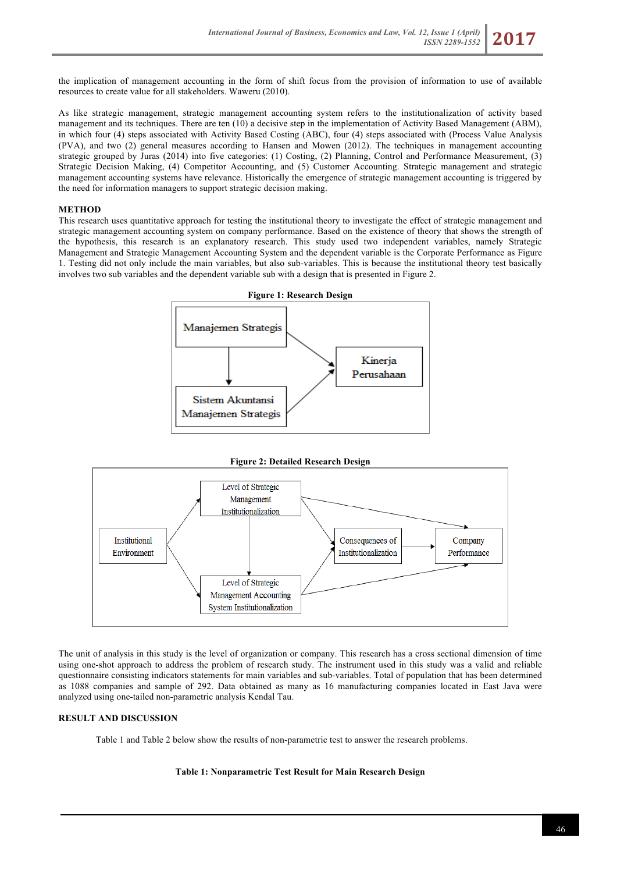the implication of management accounting in the form of shift focus from the provision of information to use of available resources to create value for all stakeholders. Waweru (2010).

As like strategic management, strategic management accounting system refers to the institutionalization of activity based management and its techniques. There are ten (10) a decisive step in the implementation of Activity Based Management (ABM), in which four (4) steps associated with Activity Based Costing (ABC), four (4) steps associated with (Process Value Analysis (PVA), and two (2) general measures according to Hansen and Mowen (2012). The techniques in management accounting strategic grouped by Juras (2014) into five categories: (1) Costing, (2) Planning, Control and Performance Measurement, (3) Strategic Decision Making, (4) Competitor Accounting, and (5) Customer Accounting. Strategic management and strategic management accounting systems have relevance. Historically the emergence of strategic management accounting is triggered by the need for information managers to support strategic decision making.

### **METHOD**

This research uses quantitative approach for testing the institutional theory to investigate the effect of strategic management and strategic management accounting system on company performance. Based on the existence of theory that shows the strength of the hypothesis, this research is an explanatory research. This study used two independent variables, namely Strategic Management and Strategic Management Accounting System and the dependent variable is the Corporate Performance as Figure 1. Testing did not only include the main variables, but also sub-variables. This is because the institutional theory test basically involves two sub variables and the dependent variable sub with a design that is presented in Figure 2.



**Figure 2: Detailed Research Design**



The unit of analysis in this study is the level of organization or company. This research has a cross sectional dimension of time using one-shot approach to address the problem of research study. The instrument used in this study was a valid and reliable questionnaire consisting indicators statements for main variables and sub-variables. Total of population that has been determined as 1088 companies and sample of 292. Data obtained as many as 16 manufacturing companies located in East Java were analyzed using one-tailed non-parametric analysis Kendal Tau.

## **RESULT AND DISCUSSION**

Table 1 and Table 2 below show the results of non-parametric test to answer the research problems.

### **Table 1: Nonparametric Test Result for Main Research Design**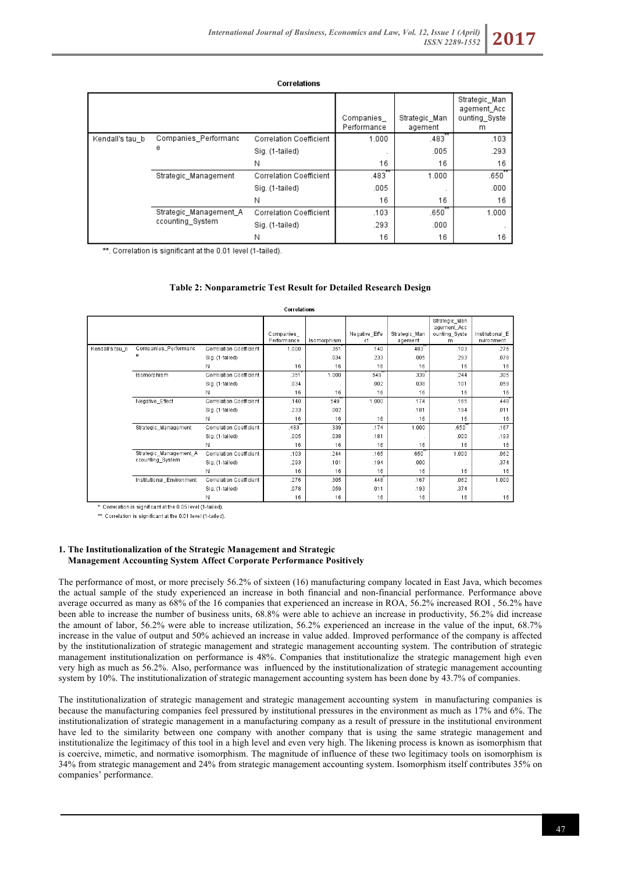#### Correlations

|                 |                                            |                                | Companies_<br>Performance | Strategic Man<br>agement | Strategic Man<br>agement_Acc<br>ounting_Syste<br>m |
|-----------------|--------------------------------------------|--------------------------------|---------------------------|--------------------------|----------------------------------------------------|
| Kendall's tau b | Companies Performanc<br>е                  | Correlation Coefficient        | 1.000                     | .483                     | .103                                               |
|                 |                                            | Sig. (1-tailed)                |                           | .005                     | .293                                               |
|                 |                                            | Ν                              | 16                        | 16                       | 16                                                 |
|                 | Strategic Management                       | Correlation Coefficient        | .483                      | 1.000                    | .650                                               |
|                 |                                            | Sig. (1-tailed)                | .005                      |                          | .000                                               |
|                 |                                            | Ν                              | 16                        | 16                       | 16                                                 |
|                 | Strategic Management A<br>ccounting System | <b>Correlation Coefficient</b> | .103                      | .650                     | 1.000                                              |
|                 |                                            | Sig. (1-tailed)                | .293                      | .000                     |                                                    |
|                 |                                            | Ν                              | 16                        | 16                       | 16                                                 |

\*\*. Correlation is significant at the 0.01 level (1-tailed).

### **Table 2: Nonparametric Test Result for Detailed Research Design**

| <b>Correlations</b> |                                            |                                |                           |             |                     |                          |                                                    |                               |  |  |  |  |
|---------------------|--------------------------------------------|--------------------------------|---------------------------|-------------|---------------------|--------------------------|----------------------------------------------------|-------------------------------|--|--|--|--|
|                     |                                            |                                | Companies_<br>Performance | Isomorphism | Negative_Effe<br>ct | Strategic_Man<br>agement | Strategic_Man<br>agement_Acc<br>ounting_Syste<br>m | Institutional_E<br>nvironment |  |  |  |  |
| Kendall's tau_b     | Companies_Performanc                       | Correlation Coefficient        | 1.000                     | .351        | .140                | .483                     | .103                                               | .276                          |  |  |  |  |
|                     | e                                          | Sig. (1-tailed)                |                           | .034        | .233                | .005                     | .293                                               | .078                          |  |  |  |  |
|                     |                                            | N                              | 16                        | 16          | 16                  | 16                       | 16                                                 | 16                            |  |  |  |  |
|                     | Isomorphism                                | Correlation Coefficient        | .351                      | 1.000       | .549                | .339                     | .244                                               | .305                          |  |  |  |  |
|                     |                                            | Sig. (1-tailed)                | .034                      |             | .002                | .038                     | .101                                               | .059                          |  |  |  |  |
|                     |                                            | N                              | 16                        | 16          | 16                  | 16                       | 16                                                 | 16                            |  |  |  |  |
|                     | Negative_Effect                            | Correlation Coefficient        | .140                      | .549        | 1.000               | .174                     | .165                                               | .448                          |  |  |  |  |
|                     |                                            | Sig. (1-tailed)                | .233                      | .002        |                     | .181                     | .194                                               | .011                          |  |  |  |  |
|                     |                                            | N                              | 16                        | 16          | 16                  | 16                       | 16                                                 | 16                            |  |  |  |  |
|                     | Strategic_Management                       | <b>Correlation Coefficient</b> | .483                      | .339        | .174                | 1.000                    | $.650^{\degree}$                                   | .167                          |  |  |  |  |
|                     |                                            | Sig. (1-tailed)                | .005                      | .038        | .181                |                          | .000                                               | .193                          |  |  |  |  |
|                     |                                            | N                              | 16                        | 16          | 16                  | 16                       | 16                                                 | 16                            |  |  |  |  |
|                     | Strategic_Management_A<br>ccounting_System | <b>Correlation Coefficient</b> | .103                      | .244        | .165                | .650 <sup>°</sup>        | 1.000                                              | .062                          |  |  |  |  |
|                     |                                            | Sig. (1-tailed)                | .293                      | .101        | .194                | .000                     |                                                    | .374                          |  |  |  |  |
|                     |                                            | N                              | 16                        | 16          | 16                  | 16                       | 16                                                 | 16                            |  |  |  |  |
|                     | Institutional_Environment                  | <b>Correlation Coefficient</b> | .276                      | .305        | .448                | .167                     | .062                                               | 1.000                         |  |  |  |  |
|                     |                                            | Sig. (1-tailed)                | .078                      | .059        | .011                | .193                     | .374                                               |                               |  |  |  |  |
|                     |                                            | И                              | 16                        | 16          | 16                  | 16                       | 16                                                 | 16                            |  |  |  |  |

\*. Correlation is significant at the 0.05 level (1-tailed)

\*\*. Correlation is significant at the 0.01 level (1-tailed).

### **1. The Institutionalization of the Strategic Management and Strategic Management Accounting System Affect Corporate Performance Positively**

The performance of most, or more precisely 56.2% of sixteen (16) manufacturing company located in East Java, which becomes the actual sample of the study experienced an increase in both financial and non-financial performance. Performance above average occurred as many as 68% of the 16 companies that experienced an increase in ROA, 56.2% increased ROI , 56.2% have been able to increase the number of business units, 68.8% were able to achieve an increase in productivity, 56.2% did increase the amount of labor, 56.2% were able to increase utilization, 56.2% experienced an increase in the value of the input, 68.7% increase in the value of output and 50% achieved an increase in value added. Improved performance of the company is affected by the institutionalization of strategic management and strategic management accounting system. The contribution of strategic management institutionalization on performance is 48%. Companies that institutionalize the strategic management high even very high as much as 56.2%. Also, performance was influenced by the institutionalization of strategic management accounting system by 10%. The institutionalization of strategic management accounting system has been done by 43.7% of companies.

The institutionalization of strategic management and strategic management accounting system in manufacturing companies is because the manufacturing companies feel pressured by institutional pressures in the environment as much as 17% and 6%. The institutionalization of strategic management in a manufacturing company as a result of pressure in the institutional environment have led to the similarity between one company with another company that is using the same strategic management and institutionalize the legitimacy of this tool in a high level and even very high. The likening process is known as isomorphism that is coercive, mimetic, and normative isomorphism. The magnitude of influence of these two legitimacy tools on isomorphism is 34% from strategic management and 24% from strategic management accounting system. Isomorphism itself contributes 35% on companies' performance.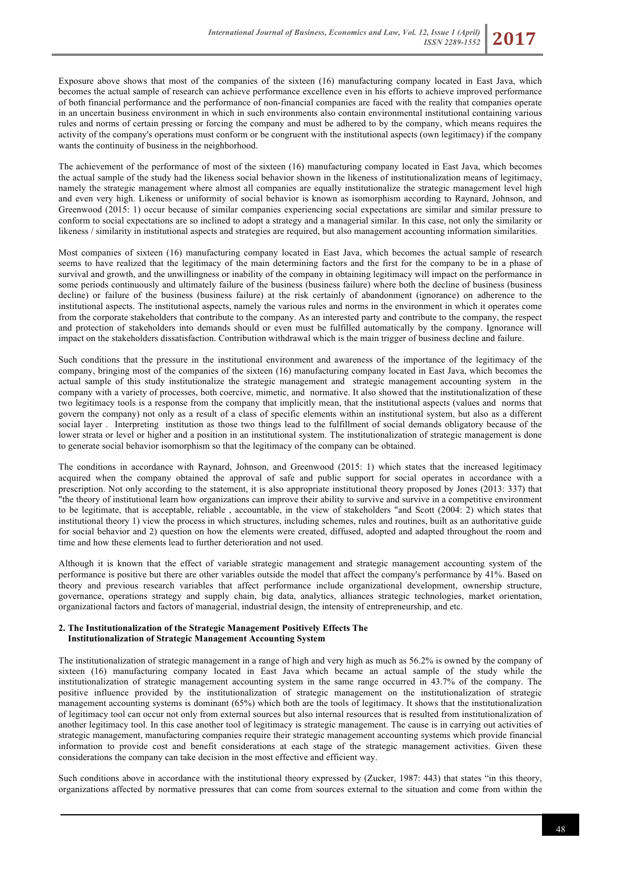Exposure above shows that most of the companies of the sixteen (16) manufacturing company located in East Java, which becomes the actual sample of research can achieve performance excellence even in his efforts to achieve improved performance of both financial performance and the performance of non-financial companies are faced with the reality that companies operate in an uncertain business environment in which in such environments also contain environmental institutional containing various rules and norms of certain pressing or forcing the company and must be adhered to by the company, which means requires the activity of the company's operations must conform or be congruent with the institutional aspects (own legitimacy) if the company wants the continuity of business in the neighborhood.

The achievement of the performance of most of the sixteen (16) manufacturing company located in East Java, which becomes the actual sample of the study had the likeness social behavior shown in the likeness of institutionalization means of legitimacy, namely the strategic management where almost all companies are equally institutionalize the strategic management level high and even very high. Likeness or uniformity of social behavior is known as isomorphism according to Raynard, Johnson, and Greenwood (2015: 1) occur because of similar companies experiencing social expectations are similar and similar pressure to conform to social expectations are so inclined to adopt a strategy and a managerial similar. In this case, not only the similarity or likeness / similarity in institutional aspects and strategies are required, but also management accounting information similarities.

Most companies of sixteen (16) manufacturing company located in East Java, which becomes the actual sample of research seems to have realized that the legitimacy of the main determining factors and the first for the company to be in a phase of survival and growth, and the unwillingness or inability of the company in obtaining legitimacy will impact on the performance in some periods continuously and ultimately failure of the business (business failure) where both the decline of business (business decline) or failure of the business (business failure) at the risk certainly of abandonment (ignorance) on adherence to the institutional aspects. The institutional aspects, namely the various rules and norms in the environment in which it operates come from the corporate stakeholders that contribute to the company. As an interested party and contribute to the company, the respect and protection of stakeholders into demands should or even must be fulfilled automatically by the company. Ignorance will impact on the stakeholders dissatisfaction. Contribution withdrawal which is the main trigger of business decline and failure.

Such conditions that the pressure in the institutional environment and awareness of the importance of the legitimacy of the company, bringing most of the companies of the sixteen (16) manufacturing company located in East Java, which becomes the actual sample of this study institutionalize the strategic management and strategic management accounting system in the company with a variety of processes, both coercive, mimetic, and normative. It also showed that the institutionalization of these two legitimacy tools is a response from the company that implicitly mean, that the institutional aspects (values and norms that govern the company) not only as a result of a class of specific elements within an institutional system, but also as a different social layer . Interpreting institution as those two things lead to the fulfillment of social demands obligatory because of the lower strata or level or higher and a position in an institutional system. The institutionalization of strategic management is done to generate social behavior isomorphism so that the legitimacy of the company can be obtained.

The conditions in accordance with Raynard, Johnson, and Greenwood (2015: 1) which states that the increased legitimacy acquired when the company obtained the approval of safe and public support for social operates in accordance with a prescription. Not only according to the statement, it is also appropriate institutional theory proposed by Jones (2013: 337) that "the theory of institutional learn how organizations can improve their ability to survive and survive in a competitive environment to be legitimate, that is acceptable, reliable , accountable, in the view of stakeholders "and Scott (2004: 2) which states that institutional theory 1) view the process in which structures, including schemes, rules and routines, built as an authoritative guide for social behavior and 2) question on how the elements were created, diffused, adopted and adapted throughout the room and time and how these elements lead to further deterioration and not used.

Although it is known that the effect of variable strategic management and strategic management accounting system of the performance is positive but there are other variables outside the model that affect the company's performance by 41%. Based on theory and previous research variables that affect performance include organizational development, ownership structure, governance, operations strategy and supply chain, big data, analytics, alliances strategic technologies, market orientation, organizational factors and factors of managerial, industrial design, the intensity of entrepreneurship, and etc.

### **2. The Institutionalization of the Strategic Management Positively Effects The Institutionalization of Strategic Management Accounting System**

The institutionalization of strategic management in a range of high and very high as much as 56.2% is owned by the company of sixteen (16) manufacturing company located in East Java which became an actual sample of the study while the institutionalization of strategic management accounting system in the same range occurred in 43.7% of the company. The positive influence provided by the institutionalization of strategic management on the institutionalization of strategic management accounting systems is dominant (65%) which both are the tools of legitimacy. It shows that the institutionalization of legitimacy tool can occur not only from external sources but also internal resources that is resulted from institutionalization of another legitimacy tool. In this case another tool of legitimacy is strategic management. The cause is in carrying out activities of strategic management, manufacturing companies require their strategic management accounting systems which provide financial information to provide cost and benefit considerations at each stage of the strategic management activities. Given these considerations the company can take decision in the most effective and efficient way.

Such conditions above in accordance with the institutional theory expressed by (Zucker, 1987: 443) that states "in this theory, organizations affected by normative pressures that can come from sources external to the situation and come from within the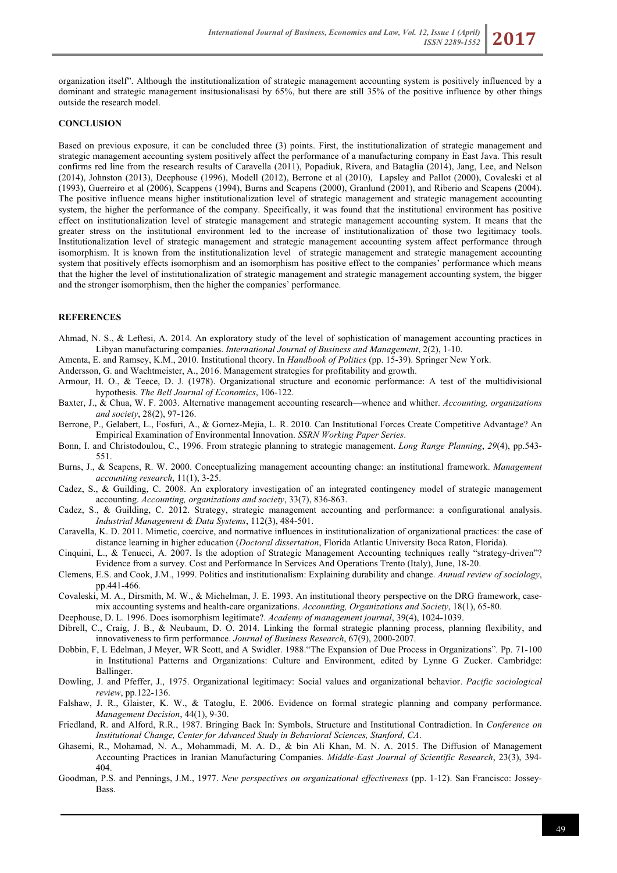organization itself". Although the institutionalization of strategic management accounting system is positively influenced by a dominant and strategic management insitusionalisasi by 65%, but there are still 35% of the positive influence by other things outside the research model.

#### **CONCLUSION**

Based on previous exposure, it can be concluded three (3) points. First, the institutionalization of strategic management and strategic management accounting system positively affect the performance of a manufacturing company in East Java. This result confirms red line from the research results of Caravella (2011), Popadiuk, Rivera, and Bataglia (2014), Jang, Lee, and Nelson (2014), Johnston (2013), Deephouse (1996), Modell (2012), Berrone et al (2010), Lapsley and Pallot (2000), Covaleski et al (1993), Guerreiro et al (2006), Scappens (1994), Burns and Scapens (2000), Granlund (2001), and Riberio and Scapens (2004). The positive influence means higher institutionalization level of strategic management and strategic management accounting system, the higher the performance of the company. Specifically, it was found that the institutional environment has positive effect on institutionalization level of strategic management and strategic management accounting system. It means that the greater stress on the institutional environment led to the increase of institutionalization of those two legitimacy tools. Institutionalization level of strategic management and strategic management accounting system affect performance through isomorphism. It is known from the institutionalization level of strategic management and strategic management accounting system that positively effects isomorphism and an isomorphism has positive effect to the companies' performance which means that the higher the level of institutionalization of strategic management and strategic management accounting system, the bigger and the stronger isomorphism, then the higher the companies' performance.

## **REFERENCES**

Ahmad, N. S., & Leftesi, A. 2014. An exploratory study of the level of sophistication of management accounting practices in Libyan manufacturing companies. *International Journal of Business and Management*, 2(2), 1-10.

Amenta, E. and Ramsey, K.M., 2010. Institutional theory. In *Handbook of Politics* (pp. 15-39). Springer New York.

Andersson, G. and Wachtmeister, A., 2016. Management strategies for profitability and growth.

Armour, H. O., & Teece, D. J. (1978). Organizational structure and economic performance: A test of the multidivisional hypothesis. *The Bell Journal of Economics*, 106-122.

- Baxter, J., & Chua, W. F. 2003. Alternative management accounting research—whence and whither. *Accounting, organizations and society*, 28(2), 97-126.
- Berrone, P., Gelabert, L., Fosfuri, A., & Gomez-Mejia, L. R. 2010. Can Institutional Forces Create Competitive Advantage? An Empirical Examination of Environmental Innovation. *SSRN Working Paper Series*.
- Bonn, I. and Christodoulou, C., 1996. From strategic planning to strategic management. *Long Range Planning*, *29*(4), pp.543- 551.
- Burns, J., & Scapens, R. W. 2000. Conceptualizing management accounting change: an institutional framework. *Management accounting research*, 11(1), 3-25.
- Cadez, S., & Guilding, C. 2008. An exploratory investigation of an integrated contingency model of strategic management accounting. *Accounting, organizations and society*, 33(7), 836-863.
- Cadez, S., & Guilding, C. 2012. Strategy, strategic management accounting and performance: a configurational analysis. *Industrial Management & Data Systems*, 112(3), 484-501.
- Caravella, K. D. 2011. Mimetic, coercive, and normative influences in institutionalization of organizational practices: the case of distance learning in higher education (*Doctoral dissertation*, Florida Atlantic University Boca Raton, Florida).
- Cinquini, L., & Tenucci, A. 2007. Is the adoption of Strategic Management Accounting techniques really "strategy-driven"? Evidence from a survey. Cost and Performance In Services And Operations Trento (Italy), June, 18-20.
- Clemens, E.S. and Cook, J.M., 1999. Politics and institutionalism: Explaining durability and change. *Annual review of sociology*, pp.441-466.
- Covaleski, M. A., Dirsmith, M. W., & Michelman, J. E. 1993. An institutional theory perspective on the DRG framework, casemix accounting systems and health-care organizations. *Accounting, Organizations and Society*, 18(1), 65-80.
- Deephouse, D. L. 1996. Does isomorphism legitimate?. *Academy of management journal*, 39(4), 1024-1039.
- Dibrell, C., Craig, J. B., & Neubaum, D. O. 2014. Linking the formal strategic planning process, planning flexibility, and innovativeness to firm performance. *Journal of Business Research*, 67(9), 2000-2007.
- Dobbin, F, L Edelman, J Meyer, WR Scott, and A Swidler. 1988."The Expansion of Due Process in Organizations". Pp. 71-100 in Institutional Patterns and Organizations: Culture and Environment, edited by Lynne G Zucker. Cambridge: Ballinger.
- Dowling, J. and Pfeffer, J., 1975. Organizational legitimacy: Social values and organizational behavior. *Pacific sociological review*, pp.122-136.
- Falshaw, J. R., Glaister, K. W., & Tatoglu, E. 2006. Evidence on formal strategic planning and company performance. *Management Decision*, 44(1), 9-30.
- Friedland, R. and Alford, R.R., 1987. Bringing Back In: Symbols, Structure and Institutional Contradiction. In *Conference on Institutional Change, Center for Advanced Study in Behavioral Sciences, Stanford, CA*.
- Ghasemi, R., Mohamad, N. A., Mohammadi, M. A. D., & bin Ali Khan, M. N. A. 2015. The Diffusion of Management Accounting Practices in Iranian Manufacturing Companies. *Middle-East Journal of Scientific Research*, 23(3), 394- 404.
- Goodman, P.S. and Pennings, J.M., 1977. *New perspectives on organizational effectiveness* (pp. 1-12). San Francisco: Jossey-Bass.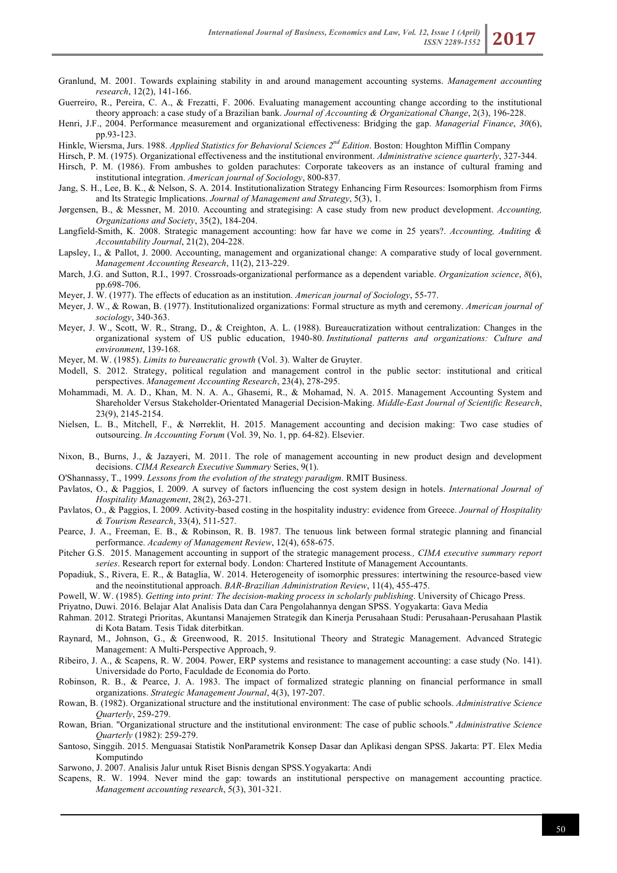Granlund, M. 2001. Towards explaining stability in and around management accounting systems. *Management accounting research*, 12(2), 141-166.

Guerreiro, R., Pereira, C. A., & Frezatti, F. 2006. Evaluating management accounting change according to the institutional theory approach: a case study of a Brazilian bank. *Journal of Accounting & Organizational Change*, 2(3), 196-228.

Henri, J.F., 2004. Performance measurement and organizational effectiveness: Bridging the gap. *Managerial Finance*, *30*(6), pp.93-123.

Hinkle, Wiersma, Jurs. 1988. *Applied Statistics for Behavioral Sciences 2nd Edition*. Boston: Houghton Mifflin Company

Hirsch, P. M. (1975). Organizational effectiveness and the institutional environment. *Administrative science quarterly*, 327-344. Hirsch, P. M. (1986). From ambushes to golden parachutes: Corporate takeovers as an instance of cultural framing and

institutional integration. *American journal of Sociology*, 800-837.

- Jang, S. H., Lee, B. K., & Nelson, S. A. 2014. Institutionalization Strategy Enhancing Firm Resources: Isomorphism from Firms and Its Strategic Implications. *Journal of Management and Strategy*, 5(3), 1.
- Jørgensen, B., & Messner, M. 2010. Accounting and strategising: A case study from new product development. *Accounting, Organizations and Society*, 35(2), 184-204.
- Langfield-Smith, K. 2008. Strategic management accounting: how far have we come in 25 years?. *Accounting, Auditing & Accountability Journal*, 21(2), 204-228.
- Lapsley, I., & Pallot, J. 2000. Accounting, management and organizational change: A comparative study of local government. *Management Accounting Research*, 11(2), 213-229.
- March, J.G. and Sutton, R.I., 1997. Crossroads-organizational performance as a dependent variable. *Organization science*, *8*(6), pp.698-706.
- Meyer, J. W. (1977). The effects of education as an institution. *American journal of Sociology*, 55-77.
- Meyer, J. W., & Rowan, B. (1977). Institutionalized organizations: Formal structure as myth and ceremony. *American journal of sociology*, 340-363.
- Meyer, J. W., Scott, W. R., Strang, D., & Creighton, A. L. (1988). Bureaucratization without centralization: Changes in the organizational system of US public education, 1940-80. *Institutional patterns and organizations: Culture and environment*, 139-168.
- Meyer, M. W. (1985). *Limits to bureaucratic growth* (Vol. 3). Walter de Gruyter.
- Modell, S. 2012. Strategy, political regulation and management control in the public sector: institutional and critical perspectives. *Management Accounting Research*, 23(4), 278-295.
- Mohammadi, M. A. D., Khan, M. N. A. A., Ghasemi, R., & Mohamad, N. A. 2015. Management Accounting System and Shareholder Versus Stakeholder-Orientated Managerial Decision-Making. *Middle-East Journal of Scientific Research*, 23(9), 2145-2154.
- Nielsen, L. B., Mitchell, F., & Nørreklit, H. 2015. Management accounting and decision making: Two case studies of outsourcing. *In Accounting Forum* (Vol. 39, No. 1, pp. 64-82). Elsevier.
- Nixon, B., Burns, J., & Jazayeri, M. 2011. The role of management accounting in new product design and development decisions. *CIMA Research Executive Summary* Series, 9(1).
- O'Shannassy, T., 1999. *Lessons from the evolution of the strategy paradigm*. RMIT Business.
- Pavlatos, O., & Paggios, I. 2009. A survey of factors influencing the cost system design in hotels. *International Journal of Hospitality Management*, 28(2), 263-271.
- Pavlatos, O., & Paggios, I. 2009. Activity-based costing in the hospitality industry: evidence from Greece. *Journal of Hospitality & Tourism Research*, 33(4), 511-527.
- Pearce, J. A., Freeman, E. B., & Robinson, R. B. 1987. The tenuous link between formal strategic planning and financial performance. *Academy of Management Review*, 12(4), 658-675.
- Pitcher G.S. 2015. Management accounting in support of the strategic management process*., CIMA executive summary report series*. Research report for external body. London: Chartered Institute of Management Accountants.
- Popadiuk, S., Rivera, E. R., & Bataglia, W. 2014. Heterogeneity of isomorphic pressures: intertwining the resource-based view and the neoinstitutional approach. *BAR-Brazilian Administration Review*, 11(4), 455-475.
- Powell, W. W. (1985). *Getting into print: The decision-making process in scholarly publishing*. University of Chicago Press.
- Priyatno, Duwi. 2016. Belajar Alat Analisis Data dan Cara Pengolahannya dengan SPSS. Yogyakarta: Gava Media
- Rahman. 2012. Strategi Prioritas, Akuntansi Manajemen Strategik dan Kinerja Perusahaan Studi: Perusahaan-Perusahaan Plastik di Kota Batam. Tesis Tidak diterbitkan.
- Raynard, M., Johnson, G., & Greenwood, R. 2015. Insitutional Theory and Strategic Management. Advanced Strategic Management: A Multi-Perspective Approach, 9.
- Ribeiro, J. A., & Scapens, R. W. 2004. Power, ERP systems and resistance to management accounting: a case study (No. 141). Universidade do Porto, Faculdade de Economia do Porto.
- Robinson, R. B., & Pearce, J. A. 1983. The impact of formalized strategic planning on financial performance in small organizations. *Strategic Management Journal*, 4(3), 197-207.
- Rowan, B. (1982). Organizational structure and the institutional environment: The case of public schools. *Administrative Science Quarterly*, 259-279.
- Rowan, Brian. "Organizational structure and the institutional environment: The case of public schools." *Administrative Science Quarterly* (1982): 259-279.
- Santoso, Singgih. 2015. Menguasai Statistik NonParametrik Konsep Dasar dan Aplikasi dengan SPSS. Jakarta: PT. Elex Media Komputindo
- Sarwono, J. 2007. Analisis Jalur untuk Riset Bisnis dengan SPSS.Yogyakarta: Andi
- Scapens, R. W. 1994. Never mind the gap: towards an institutional perspective on management accounting practice. *Management accounting research*, 5(3), 301-321.